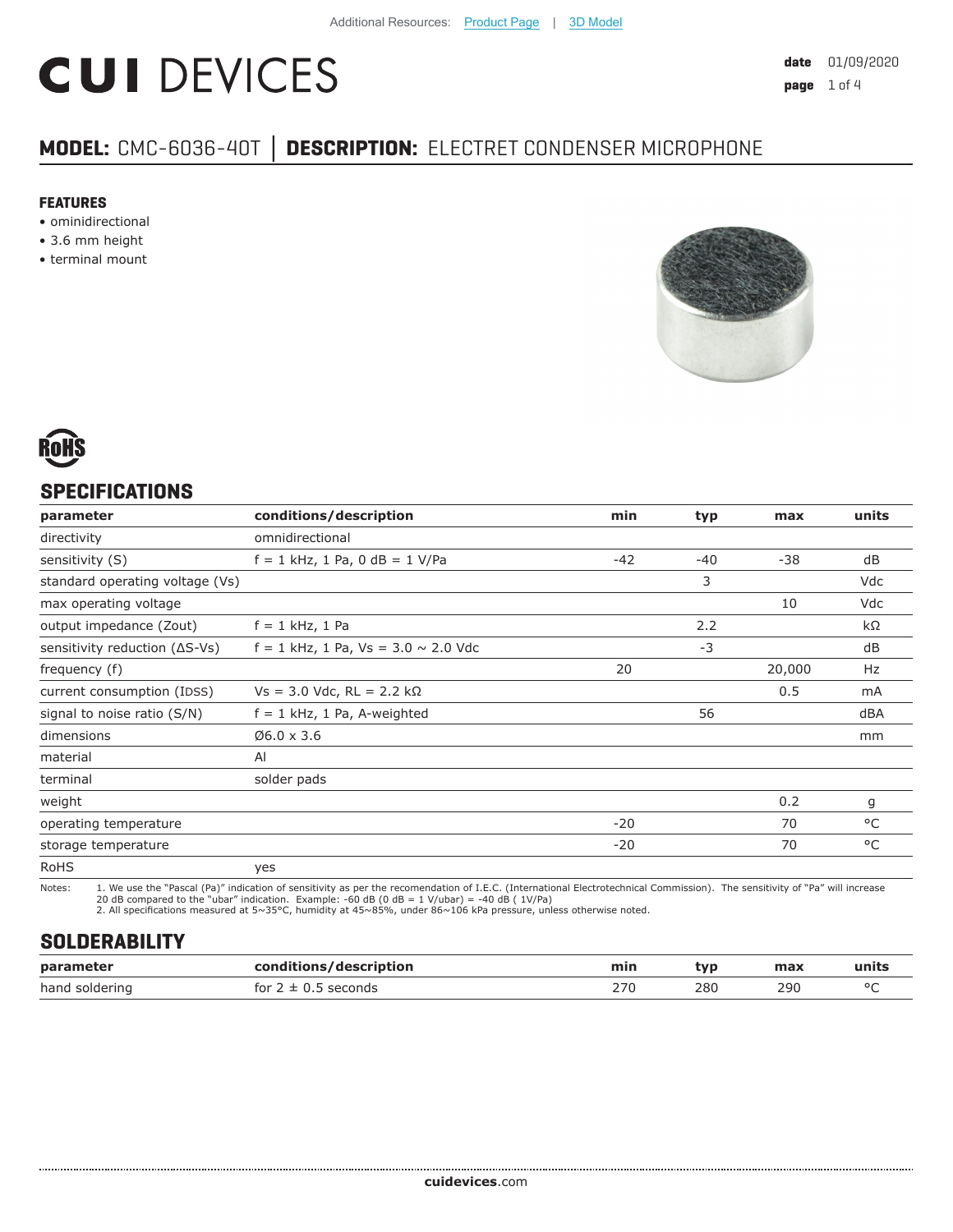# **CUI DEVICES**

### **MODEL:** CMC-6036-40T **│ DESCRIPTION:** ELECTRET CONDENSER MICROPHONE

#### **FEATURES**

- ominidirectional
- 3.6 mm height
- terminal mount





#### **SPECIFICATIONS**

| parameter                               | conditions/description                     | min   | typ   | max    | units |
|-----------------------------------------|--------------------------------------------|-------|-------|--------|-------|
| directivity                             | omnidirectional                            |       |       |        |       |
| sensitivity (S)                         | $f = 1$ kHz, 1 Pa, 0 dB = 1 V/Pa           | $-42$ | $-40$ | $-38$  | dB    |
| standard operating voltage (Vs)         |                                            |       | 3     |        | Vdc   |
| max operating voltage                   |                                            |       |       | 10     | Vdc   |
| output impedance (Zout)                 | $f = 1$ kHz, 1 Pa                          |       | 2.2   |        | kΩ    |
| sensitivity reduction $( \Delta S$ -Vs) | $f = 1$ kHz, 1 Pa, Vs = 3.0 $\sim$ 2.0 Vdc |       | $-3$  |        | dB    |
| frequency (f)                           |                                            | 20    |       | 20,000 | Hz    |
| current consumption (IDSS)              | $Vs = 3.0$ Vdc, RL = 2.2 kΩ                |       |       | 0.5    | mA    |
| signal to noise ratio (S/N)             | $f = 1$ kHz, 1 Pa, A-weighted              |       | 56    |        | dBA   |
| dimensions                              | $06.0 \times 3.6$                          |       |       |        | mm    |
| material                                | AI                                         |       |       |        |       |
| terminal                                | solder pads                                |       |       |        |       |
| weight                                  |                                            |       |       | 0.2    | g     |
| operating temperature                   |                                            | $-20$ |       | 70     | °C    |
| storage temperature                     |                                            | $-20$ |       | 70     | °C    |
| <b>RoHS</b>                             | yes                                        |       |       |        |       |

Notes: 1. We use the "Pascal (Pa)" indication of sensitivity as per the recomendation of I.E.C. (International Electrotechnical Commission). The sensitivity of "Pa" will increase

20 dB compared to the "ubar" indication. Example: -60 dB (0 dB = 1 V/ubar) = -40 dB ( 1V/Pa) 2. All specifications measured at 5~35°C, humidity at 45~85%, under 86~106 kPa pressure, unless otherwise noted.

#### **SOLDERABILITY**

| parameter      | conditions/description                  | min | tvp | max | units  |
|----------------|-----------------------------------------|-----|-----|-----|--------|
| hand soldering | <sup>-</sup> seconds<br>for $2 \pm 0.5$ | 27C | 280 | 290 | $\sim$ |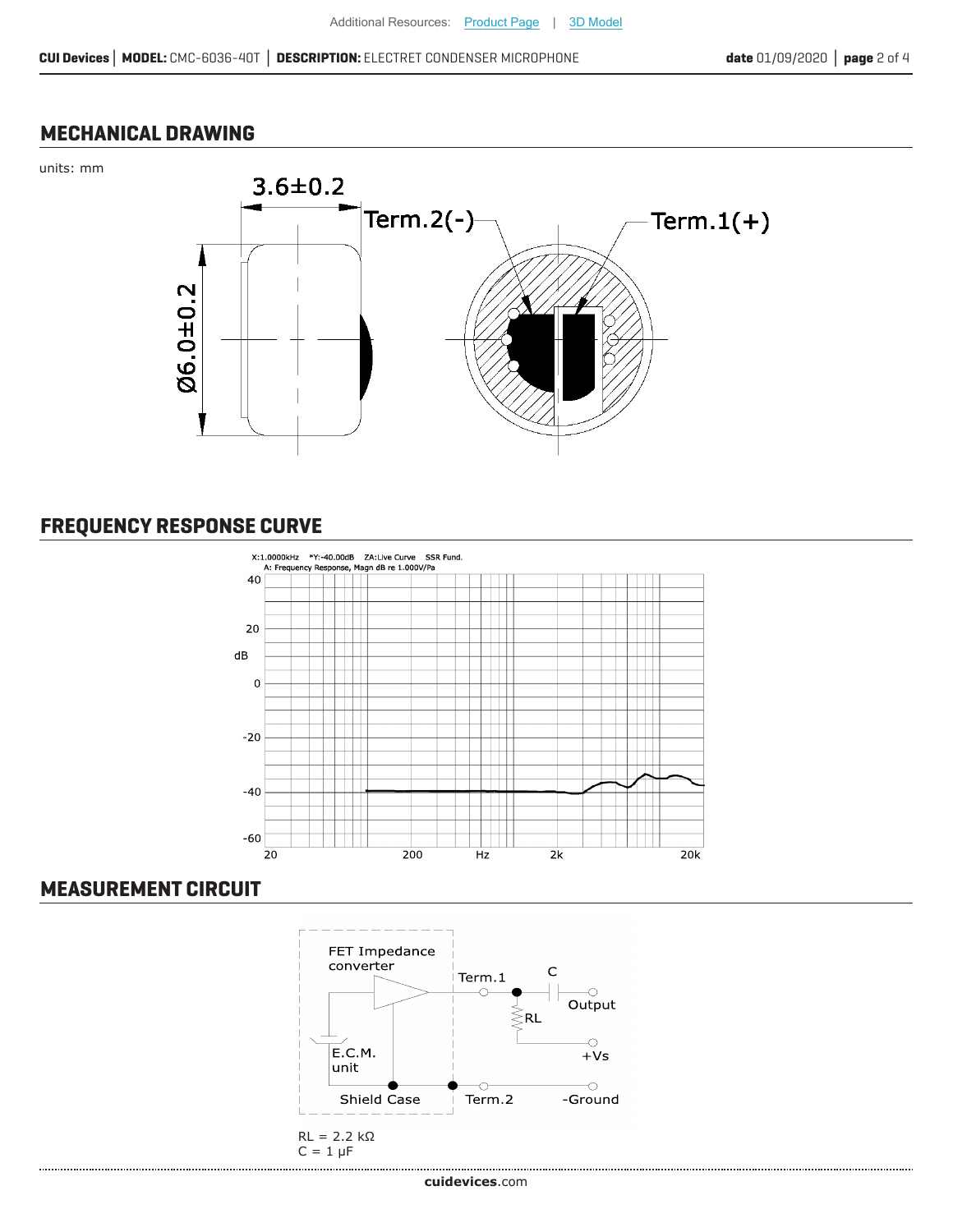#### **MECHANICAL DRAWING**





#### **FREQUENCY RESPONSE CURVE**



#### **MEASUREMENT CIRCUIT**

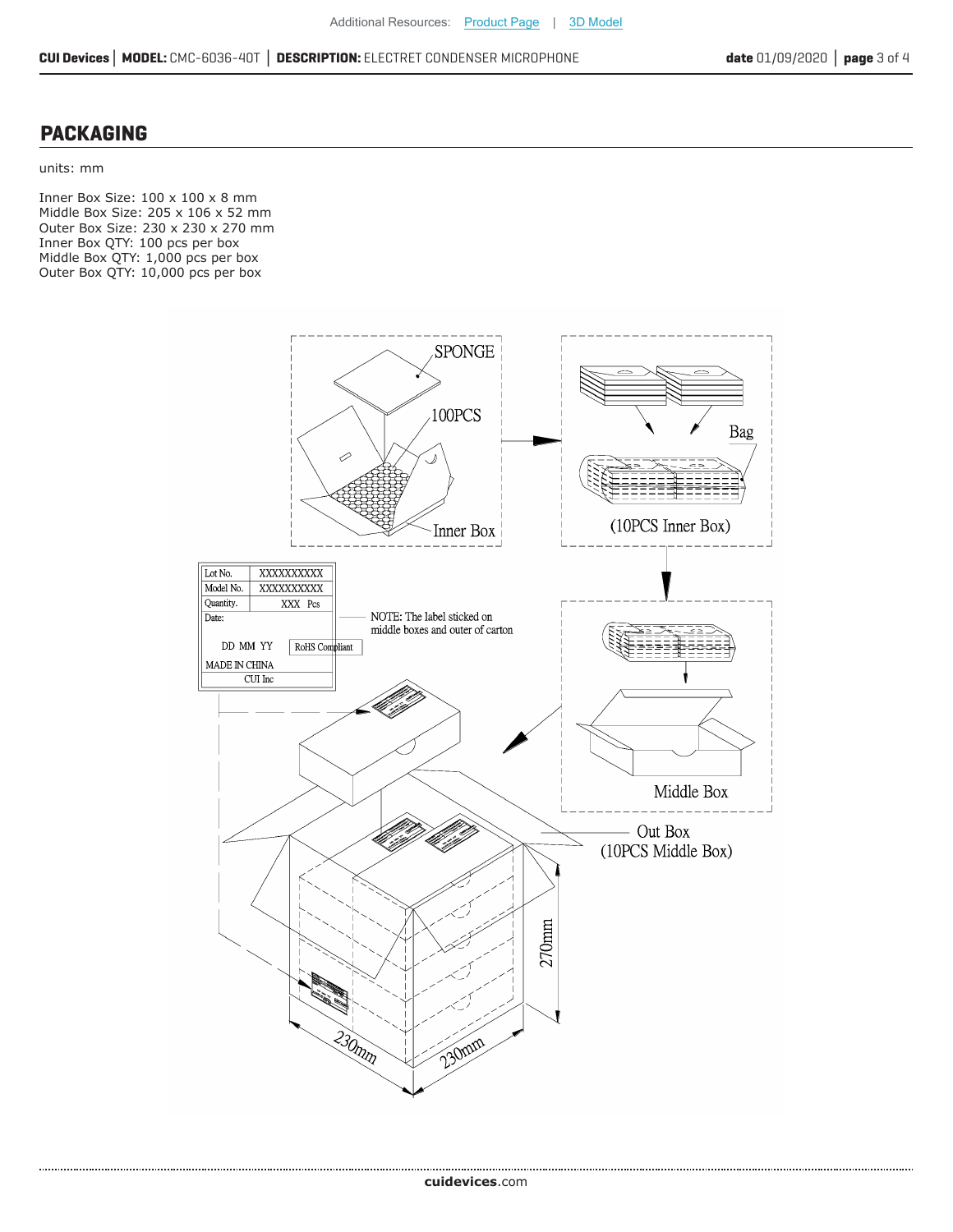#### **PACKAGING**

units: mm

......................

Inner Box Size: 100 x 100 x 8 mm Middle Box Size: 205 x 106 x 52 mm Outer Box Size: 230 x 230 x 270 mm Inner Box QTY: 100 pcs per box Middle Box QTY: 1,000 pcs per box Outer Box QTY: 10,000 pcs per box

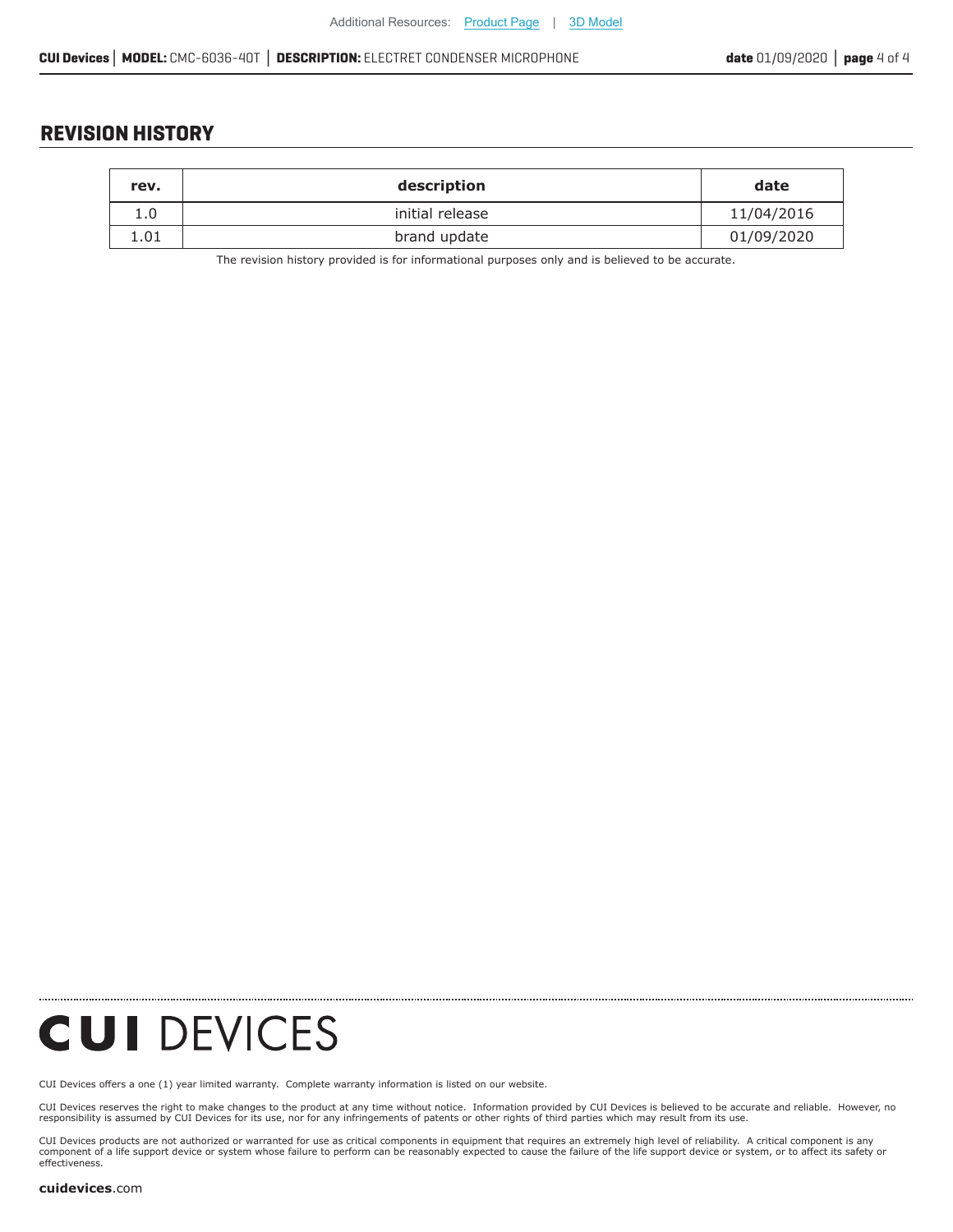#### **REVISION HISTORY**

| rev. | description     | date       |
|------|-----------------|------------|
| 1.0  | initial release | 11/04/2016 |
| 1.01 | brand update    | 01/09/2020 |

The revision history provided is for informational purposes only and is believed to be accurate.

**CUI DEVICES** 

[CUI Devices offers a one \(1\) year limited warranty. Complete](https://www.cuidevices.com/track?actionLabel=Datasheet-ClickThrough-HomePage&label=CMC-6036-40T.pdf&path=/) warranty information is listed on our website.

CUI Devices reserves the right to make changes to the product at any time without notice. Information provided by CUI Devices is believed to be accurate and reliable. However, no<br>responsibility is assumed by CUI Devices

CUI Devices products are not authorized or warranted for use as critical components in equiment that requires an extremely high level of reliability. A critical component is any<br>component of a life support device or syste